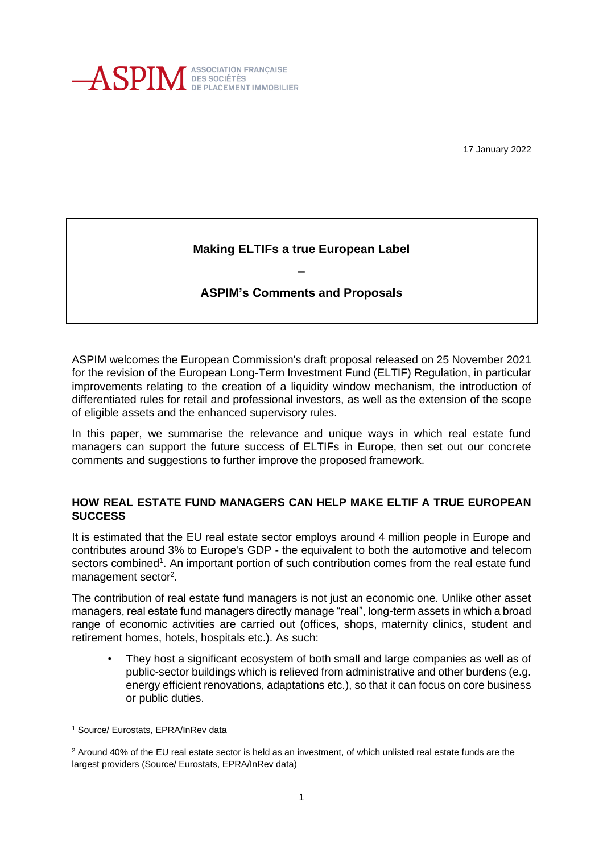

17 January 2022

# **Making ELTIFs a true European Label**

# **ASPIM's Comments and Proposals**

**–**

ASPIM welcomes the European Commission's draft proposal released on 25 November 2021 for the revision of the European Long-Term Investment Fund (ELTIF) Regulation, in particular improvements relating to the creation of a liquidity window mechanism, the introduction of differentiated rules for retail and professional investors, as well as the extension of the scope of eligible assets and the enhanced supervisory rules.

In this paper, we summarise the relevance and unique ways in which real estate fund managers can support the future success of ELTIFs in Europe, then set out our concrete comments and suggestions to further improve the proposed framework.

### **HOW REAL ESTATE FUND MANAGERS CAN HELP MAKE ELTIF A TRUE EUROPEAN SUCCESS**

It is estimated that the EU real estate sector employs around 4 million people in Europe and contributes around 3% to Europe's GDP - the equivalent to both the automotive and telecom sectors combined<sup>1</sup>. An important portion of such contribution comes from the real estate fund management sector<sup>2</sup>.

The contribution of real estate fund managers is not just an economic one. Unlike other asset managers, real estate fund managers directly manage "real", long-term assets in which a broad range of economic activities are carried out (offices, shops, maternity clinics, student and retirement homes, hotels, hospitals etc.). As such:

• They host a significant ecosystem of both small and large companies as well as of public-sector buildings which is relieved from administrative and other burdens (e.g. energy efficient renovations, adaptations etc.), so that it can focus on core business or public duties.

<sup>1</sup> Source/ Eurostats, EPRA/InRev data

 $2$  Around 40% of the EU real estate sector is held as an investment, of which unlisted real estate funds are the largest providers (Source/ Eurostats, EPRA/InRev data)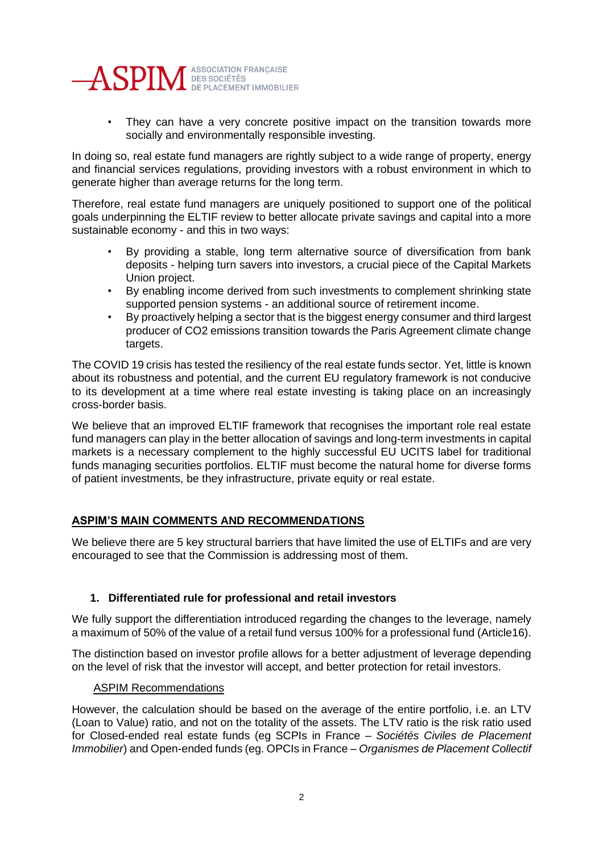

• They can have a very concrete positive impact on the transition towards more socially and environmentally responsible investing.

In doing so, real estate fund managers are rightly subject to a wide range of property, energy and financial services regulations, providing investors with a robust environment in which to generate higher than average returns for the long term.

Therefore, real estate fund managers are uniquely positioned to support one of the political goals underpinning the ELTIF review to better allocate private savings and capital into a more sustainable economy - and this in two ways:

- By providing a stable, long term alternative source of diversification from bank deposits - helping turn savers into investors, a crucial piece of the Capital Markets Union project.
- By enabling income derived from such investments to complement shrinking state supported pension systems - an additional source of retirement income.
- By proactively helping a sector that is the biggest energy consumer and third largest producer of CO2 emissions transition towards the Paris Agreement climate change targets.

The COVID 19 crisis has tested the resiliency of the real estate funds sector. Yet, little is known about its robustness and potential, and the current EU regulatory framework is not conducive to its development at a time where real estate investing is taking place on an increasingly cross-border basis.

We believe that an improved ELTIF framework that recognises the important role real estate fund managers can play in the better allocation of savings and long-term investments in capital markets is a necessary complement to the highly successful EU UCITS label for traditional funds managing securities portfolios. ELTIF must become the natural home for diverse forms of patient investments, be they infrastructure, private equity or real estate.

# **ASPIM'S MAIN COMMENTS AND RECOMMENDATIONS**

We believe there are 5 key structural barriers that have limited the use of ELTIFs and are very encouraged to see that the Commission is addressing most of them.

### **1. Differentiated rule for professional and retail investors**

We fully support the differentiation introduced regarding the changes to the leverage, namely a maximum of 50% of the value of a retail fund versus 100% for a professional fund (Article16).

The distinction based on investor profile allows for a better adjustment of leverage depending on the level of risk that the investor will accept, and better protection for retail investors.

### ASPIM Recommendations

However, the calculation should be based on the average of the entire portfolio, i.e. an LTV (Loan to Value) ratio, and not on the totality of the assets. The LTV ratio is the risk ratio used for Closed-ended real estate funds (eg SCPIs in France – *Sociétés Civiles de Placement Immobilier*) and Open-ended funds (eg. OPCIs in France – *Organismes de Placement Collectif*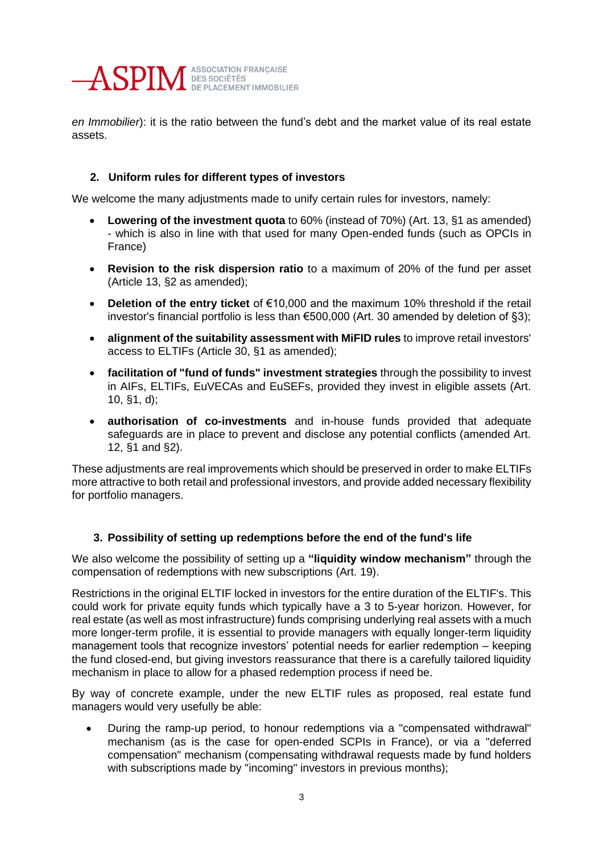

*en Immobilier*): it is the ratio between the fund's debt and the market value of its real estate assets.

## **2. Uniform rules for different types of investors**

We welcome the many adjustments made to unify certain rules for investors, namely:

- **Lowering of the investment quota** to 60% (instead of 70%) (Art. 13, §1 as amended) - which is also in line with that used for many Open-ended funds (such as OPCIs in France)
- **Revision to the risk dispersion ratio** to a maximum of 20% of the fund per asset (Article 13, §2 as amended);
- **Deletion of the entry ticket** of €10,000 and the maximum 10% threshold if the retail investor's financial portfolio is less than €500,000 (Art. 30 amended by deletion of §3);
- **alignment of the suitability assessment with MiFID rules** to improve retail investors' access to ELTIFs (Article 30, §1 as amended);
- **facilitation of "fund of funds" investment strategies** through the possibility to invest in AIFs, ELTIFs, EuVECAs and EuSEFs, provided they invest in eligible assets (Art. 10, §1, d);
- **authorisation of co-investments** and in-house funds provided that adequate safeguards are in place to prevent and disclose any potential conflicts (amended Art. 12, §1 and §2).

These adjustments are real improvements which should be preserved in order to make ELTIFs more attractive to both retail and professional investors, and provide added necessary flexibility for portfolio managers.

### **3. Possibility of setting up redemptions before the end of the fund's life**

We also welcome the possibility of setting up a **"liquidity window mechanism"** through the compensation of redemptions with new subscriptions (Art. 19).

Restrictions in the original ELTIF locked in investors for the entire duration of the ELTIF's. This could work for private equity funds which typically have a 3 to 5-year horizon. However, for real estate (as well as most infrastructure) funds comprising underlying real assets with a much more longer-term profile, it is essential to provide managers with equally longer-term liquidity management tools that recognize investors' potential needs for earlier redemption – keeping the fund closed-end, but giving investors reassurance that there is a carefully tailored liquidity mechanism in place to allow for a phased redemption process if need be.

By way of concrete example, under the new ELTIF rules as proposed, real estate fund managers would very usefully be able:

• During the ramp-up period, to honour redemptions via a "compensated withdrawal" mechanism (as is the case for open-ended SCPIs in France), or via a "deferred compensation" mechanism (compensating withdrawal requests made by fund holders with subscriptions made by "incoming" investors in previous months);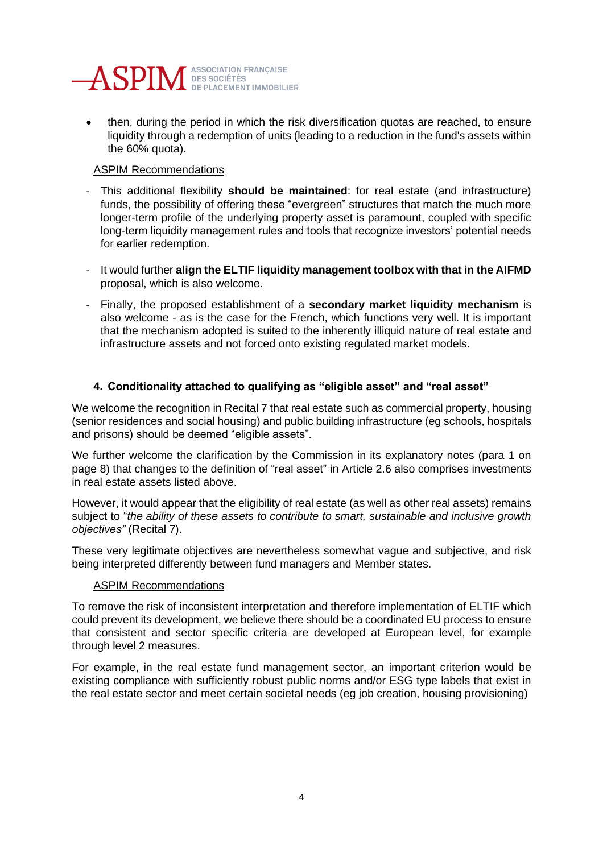

then, during the period in which the risk diversification quotas are reached, to ensure liquidity through a redemption of units (leading to a reduction in the fund's assets within the 60% quota).

## ASPIM Recommendations

- This additional flexibility **should be maintained**: for real estate (and infrastructure) funds, the possibility of offering these "evergreen" structures that match the much more longer-term profile of the underlying property asset is paramount, coupled with specific long-term liquidity management rules and tools that recognize investors' potential needs for earlier redemption.
- It would further **align the ELTIF liquidity management toolbox with that in the AIFMD** proposal, which is also welcome.
- Finally, the proposed establishment of a **secondary market liquidity mechanism** is also welcome - as is the case for the French, which functions very well. It is important that the mechanism adopted is suited to the inherently illiquid nature of real estate and infrastructure assets and not forced onto existing regulated market models.

# **4. Conditionality attached to qualifying as "eligible asset" and "real asset"**

We welcome the recognition in Recital 7 that real estate such as commercial property, housing (senior residences and social housing) and public building infrastructure (eg schools, hospitals and prisons) should be deemed "eligible assets".

We further welcome the clarification by the Commission in its explanatory notes (para 1 on page 8) that changes to the definition of "real asset" in Article 2.6 also comprises investments in real estate assets listed above.

However, it would appear that the eligibility of real estate (as well as other real assets) remains subject to "*the ability of these assets to contribute to smart, sustainable and inclusive growth objectives"* (Recital 7).

These very legitimate objectives are nevertheless somewhat vague and subjective, and risk being interpreted differently between fund managers and Member states.

### ASPIM Recommendations

To remove the risk of inconsistent interpretation and therefore implementation of ELTIF which could prevent its development, we believe there should be a coordinated EU process to ensure that consistent and sector specific criteria are developed at European level, for example through level 2 measures.

For example, in the real estate fund management sector, an important criterion would be existing compliance with sufficiently robust public norms and/or ESG type labels that exist in the real estate sector and meet certain societal needs (eg job creation, housing provisioning)